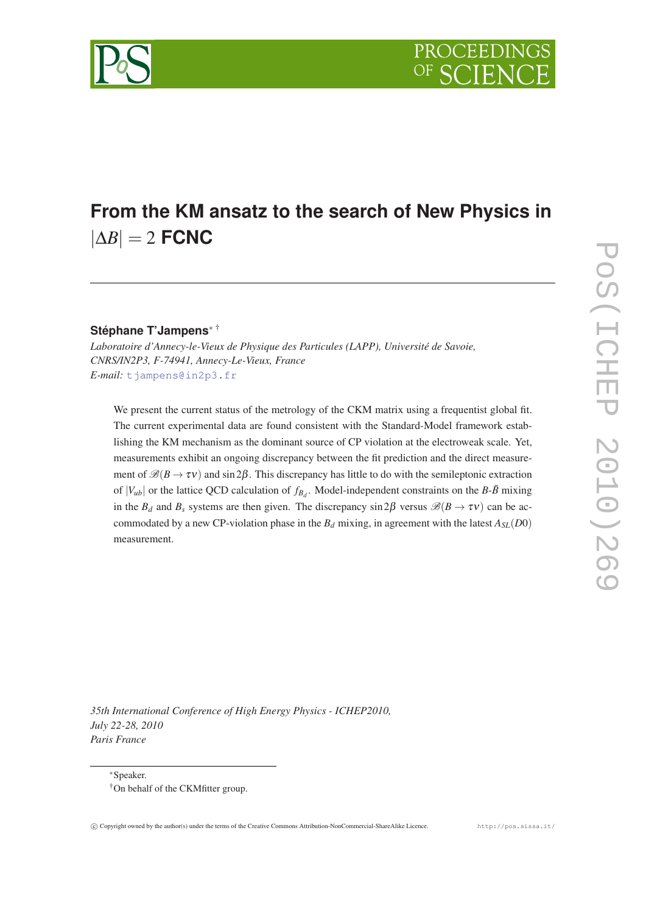

# **From the KM ansatz to the search of New Physics in** |∆*B*| = 2 **FCNC**

## **Stéphane T'Jampens**<sup>∗</sup> †

*Laboratoire d'Annecy-le-Vieux de Physique des Particules (LAPP), Université de Savoie, CNRS/IN2P3, F-74941, Annecy-Le-Vieux, France E-mail:* [tjampens@in2p3.fr](mailto:tjampens@in2p3.fr)

We present the current status of the metrology of the CKM matrix using a frequentist global fit. The current experimental data are found consistent with the Standard-Model framework establishing the KM mechanism as the dominant source of CP violation at the electroweak scale. Yet, measurements exhibit an ongoing discrepancy between the fit prediction and the direct measurement of  $\mathcal{B}(B \to \tau \nu)$  and sin 2 $\beta$ . This discrepancy has little to do with the semileptonic extraction of  $|V_{ub}|$  or the lattice QCD calculation of  $f_{B_d}$ . Model-independent constraints on the *B*- $\bar{B}$  mixing in the  $B_d$  and  $B_s$  systems are then given. The discrepancy sin 2 $\beta$  versus  $\mathcal{B}(B \to \tau v)$  can be accommodated by a new CP-violation phase in the  $B_d$  mixing, in agreement with the latest  $A_{SL}(D0)$ measurement.

*35th International Conference of High Energy Physics - ICHEP2010, July 22-28, 2010 Paris France*

<sup>∗</sup>Speaker.

<sup>†</sup>On behalf of the CKMfitter group.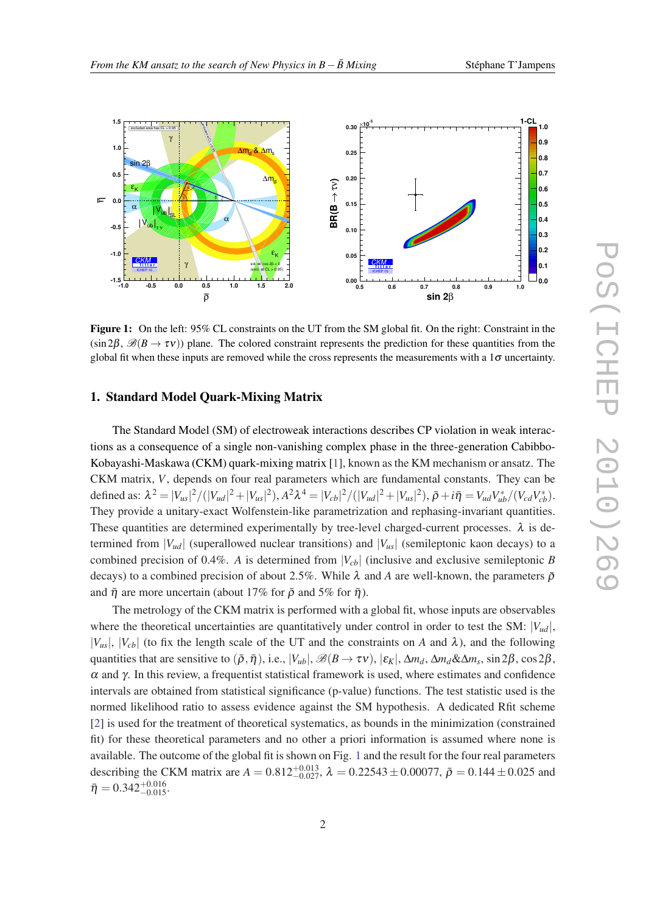<span id="page-1-0"></span>

Figure 1: On the left: 95% CL constraints on the UT from the SM global fit. On the right: Constraint in the  $(\sin 2\beta, \mathcal{B}(B \to \tau \nu))$  plane. The colored constraint represents the prediction for these quantities from the global fit when these inputs are removed while the cross represents the measurements with a  $1\sigma$  uncertainty.

### 1. Standard Model Quark-Mixing Matrix

The Standard Model (SM) of electroweak interactions describes CP violation in weak interactions as a consequence of a single non-vanishing complex phase in the three-generation Cabibbo-Kobayashi-Maskawa (CKM) quark-mixing matrix [[1](#page-3-0)], known as the KM mechanism or ansatz. The CKM matrix, *V*, depends on four real parameters which are fundamental constants. They can be defined as:  $\lambda^2 = |V_{us}|^2 / (|V_{ud}|^2 + |V_{us}|^2), A^2 \lambda^4 = |V_{cb}|^2 / (|V_{ud}|^2 + |V_{us}|^2), \bar{\rho} + i\bar{\eta} = V_{ud}V_{ub}^* / (V_{cd}V_{cb}^*).$ They provide a unitary-exact Wolfenstein-like parametrization and rephasing-invariant quantities. These quantities are determined experimentally by tree-level charged-current processes.  $\lambda$  is determined from  $|V_{ud}|$  (superallowed nuclear transitions) and  $|V_{us}|$  (semileptonic kaon decays) to a combined precision of 0.4%. *A* is determined from  $|V_{cb}|$  (inclusive and exclusive semileptonic *B* decays) to a combined precision of about 2.5%. While  $\lambda$  and A are well-known, the parameters  $\bar{\rho}$ and  $\bar{\eta}$  are more uncertain (about 17% for  $\bar{\rho}$  and 5% for  $\bar{\eta}$ ).

The metrology of the CKM matrix is performed with a global fit, whose inputs are observables where the theoretical uncertainties are quantitatively under control in order to test the SM:  $|V_{ud}|$ ,  $|V_{us}|$ ,  $|V_{cb}|$  (to fix the length scale of the UT and the constraints on *A* and  $\lambda$ ), and the following quantities that are sensitive to  $(\bar{\rho}, \bar{\eta})$ , i.e.,  $|V_{ub}|$ ,  $\mathscr{B}(B \to \tau \nu)$ ,  $|\varepsilon_K|$ ,  $\Delta m_d$ ,  $\Delta m_d \& \Delta m_s$ , sin 2 $\beta$ , cos 2 $\beta$ ,  $\alpha$  and γ. In this review, a frequentist statistical framework is used, where estimates and confidence intervals are obtained from statistical significance (p-value) functions. The test statistic used is the normed likelihood ratio to assess evidence against the SM hypothesis. A dedicated Rfit scheme [[2](#page-3-0)] is used for the treatment of theoretical systematics, as bounds in the minimization (constrained fit) for these theoretical parameters and no other a priori information is assumed where none is available. The outcome of the global fit is shown on Fig. 1 and the result for the four real parameters describing the CKM matrix are  $A = 0.812^{+0.013}_{-0.027}$ ,  $\lambda = 0.22543 \pm 0.00077$ ,  $\bar{\rho} = 0.144 \pm 0.025$  and  $\bar{\eta} = 0.342^{+0.016}_{-0.015}.$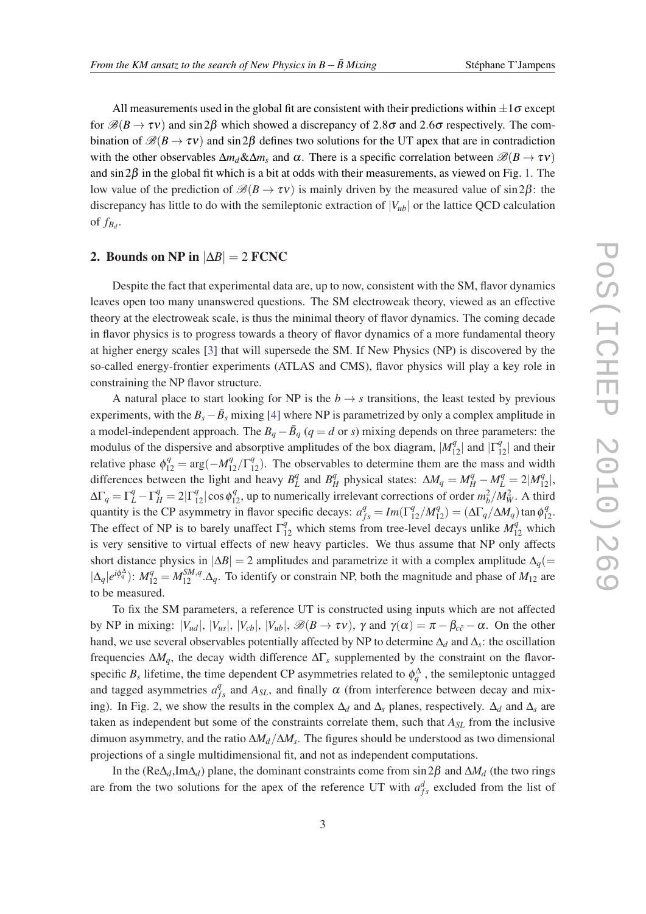All measurements used in the global fit are consistent with their predictions within  $\pm 1\sigma$  except for  $\mathcal{B}(B \to \tau v)$  and sin 2 $\beta$  which showed a discrepancy of 2.8 $\sigma$  and 2.6 $\sigma$  respectively. The combination of  $\mathcal{B}(B \to \tau v)$  and sin 2 $\beta$  defines two solutions for the UT apex that are in contradiction with the other observables  $\Delta m_d \& \Delta m_s$  and  $\alpha$ . There is a specific correlation between  $\mathscr{B}(B \to \tau \nu)$ and  $\sin 2\beta$  in the global fit which is a bit at odds with their measurements, as viewed on Fig. [1.](#page-1-0) The low value of the prediction of  $\mathcal{B}(B \to \tau v)$  is mainly driven by the measured value of sin 2 $\beta$ : the discrepancy has little to do with the semileptonic extraction of  $|V_{ub}|$  or the lattice QCD calculation of  $f_{B_d}$ .

#### 2. Bounds on NP in  $|\Delta B| = 2$  FCNC

Despite the fact that experimental data are, up to now, consistent with the SM, flavor dynamics leaves open too many unanswered questions. The SM electroweak theory, viewed as an effective theory at the electroweak scale, is thus the minimal theory of flavor dynamics. The coming decade in flavor physics is to progress towards a theory of flavor dynamics of a more fundamental theory at higher energy scales [\[3\]](#page-3-0) that will supersede the SM. If New Physics (NP) is discovered by the so-called energy-frontier experiments (ATLAS and CMS), flavor physics will play a key role in constraining the NP flavor structure.

A natural place to start looking for NP is the  $b \rightarrow s$  transitions, the least tested by previous experiments, with the  $B_s - \bar{B}_s$  mixing [[4](#page-3-0)] where NP is parametrized by only a complex amplitude in a model-independent approach. The  $B_q - \bar{B}_q$  ( $q = d$  or *s*) mixing depends on three parameters: the modulus of the dispersive and absorptive amplitudes of the box diagram,  $|M_{12}^q|$  and  $|\Gamma_{12}^q|$  and their relative phase  $\phi_{12}^q = \arg(-M_{12}^q/\Gamma_{12}^q)$ . The observables to determine them are the mass and width differences between the light and heavy  $B_I^q$  $L^q$  and  $B^q$  $\frac{q}{H}$  physical states:  $\Delta M_q = M_H^q - M_L^q = 2|M_{12}^q|,$  $\Delta\Gamma_q = \Gamma_L^q - \Gamma_H^q = 2|\Gamma_{12}^q|\cos\phi_{12}^q$ , up to numerically irrelevant corrections of order  $m_b^2/M_W^2$ . A third quantity is the CP asymmetry in flavor specific decays:  $a_{fs}^q = Im(\Gamma_{12}^q/M_{12}^q) = (\Delta \Gamma_q/\Delta M_q) \tan \phi_{12}^q$ . The effect of NP is to barely unaffect  $\Gamma_{12}^q$  which stems from tree-level decays unlike  $M_{12}^q$  which is very sensitive to virtual effects of new heavy particles. We thus assume that NP only affects short distance physics in  $|\Delta B| = 2$  amplitudes and parametrize it with a complex amplitude  $\Delta_q$ (=  $|\Delta_q|e^{i\phi_q^{\Delta}}$ :  $M_{12}^q = M_{12}^{SM,q} \cdot \Delta_q$ . To identify or constrain NP, both the magnitude and phase of  $M_{12}$  are to be measured.

To fix the SM parameters, a reference UT is constructed using inputs which are not affected by NP in mixing:  $|V_{ud}|, |V_{us}|, |V_{cb}|, |V_{ub}|, \mathscr{B}(B \to \tau \nu), \gamma$  and  $\gamma(\alpha) = \pi - \beta_{c\bar{c}} - \alpha$ . On the other hand, we use several observables potentially affected by NP to determine ∆*<sup>d</sup>* and ∆*<sup>s</sup>* : the oscillation frequencies ∆*Mq*, the decay width difference ∆Γ*<sup>s</sup>* supplemented by the constraint on the flavorspecific  $B_s$  lifetime, the time dependent CP asymmetries related to  $\phi_q^{\Delta}$ , the semileptonic untagged and tagged asymmetries  $a_{fs}^q$  and  $A_{SL}$ , and finally  $\alpha$  (from interference between decay and mix-ing). In Fig. [2,](#page-3-0) we show the results in the complex  $\Delta_d$  and  $\Delta_s$  planes, respectively.  $\Delta_d$  and  $\Delta_s$  are taken as independent but some of the constraints correlate them, such that *ASL* from the inclusive dimuon asymmetry, and the ratio ∆*Md*/∆*M<sup>s</sup>* . The figures should be understood as two dimensional projections of a single multidimensional fit, and not as independent computations.

In the ( $\text{Re}\Delta_d$ ,Im $\Delta_d$ ) plane, the dominant constraints come from sin 2 $\beta$  and  $\Delta M_d$  (the two rings are from the two solutions for the apex of the reference UT with  $a_{fs}^d$  excluded from the list of